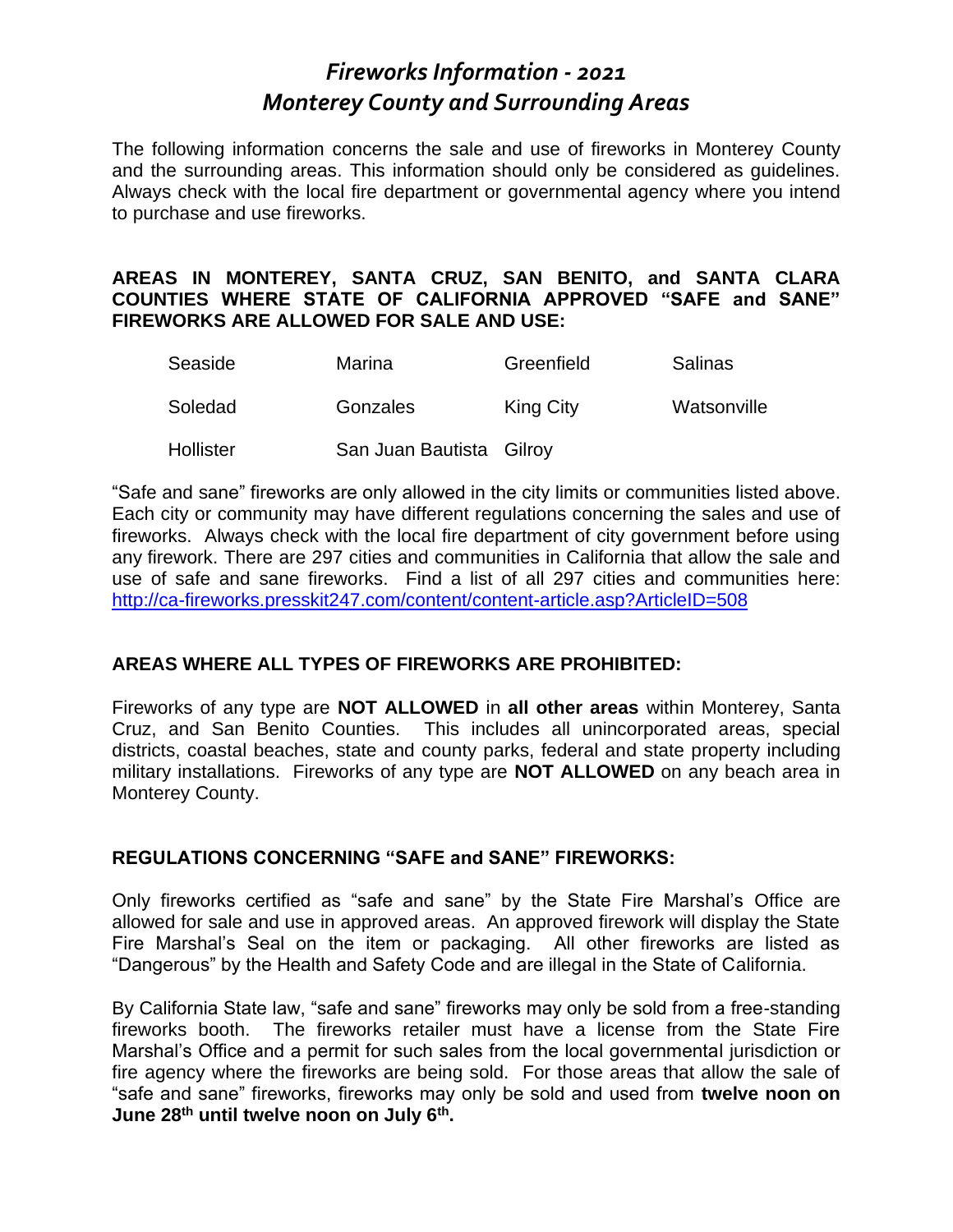# *Fireworks Information - 2021 Monterey County and Surrounding Areas*

The following information concerns the sale and use of fireworks in Monterey County and the surrounding areas. This information should only be considered as guidelines. Always check with the local fire department or governmental agency where you intend to purchase and use fireworks.

#### **AREAS IN MONTEREY, SANTA CRUZ, SAN BENITO, and SANTA CLARA COUNTIES WHERE STATE OF CALIFORNIA APPROVED "SAFE and SANE" FIREWORKS ARE ALLOWED FOR SALE AND USE:**

| Seaside   | Marina                   | Greenfield | Salinas     |
|-----------|--------------------------|------------|-------------|
| Soledad   | Gonzales                 | King City  | Watsonville |
| Hollister | San Juan Bautista Gilroy |            |             |

"Safe and sane" fireworks are only allowed in the city limits or communities listed above. Each city or community may have different regulations concerning the sales and use of fireworks. Always check with the local fire department of city government before using any firework. There are 297 cities and communities in California that allow the sale and use of safe and sane fireworks. Find a list of all 297 cities and communities here: <http://ca-fireworks.presskit247.com/content/content-article.asp?ArticleID=508>

### **AREAS WHERE ALL TYPES OF FIREWORKS ARE PROHIBITED:**

Fireworks of any type are **NOT ALLOWED** in **all other areas** within Monterey, Santa Cruz, and San Benito Counties. This includes all unincorporated areas, special districts, coastal beaches, state and county parks, federal and state property including military installations. Fireworks of any type are **NOT ALLOWED** on any beach area in Monterey County.

### **REGULATIONS CONCERNING "SAFE and SANE" FIREWORKS:**

Only fireworks certified as "safe and sane" by the State Fire Marshal's Office are allowed for sale and use in approved areas. An approved firework will display the State Fire Marshal's Seal on the item or packaging. All other fireworks are listed as "Dangerous" by the Health and Safety Code and are illegal in the State of California.

By California State law, "safe and sane" fireworks may only be sold from a free-standing fireworks booth. The fireworks retailer must have a license from the State Fire Marshal's Office and a permit for such sales from the local governmental jurisdiction or fire agency where the fireworks are being sold. For those areas that allow the sale of "safe and sane" fireworks, fireworks may only be sold and used from **twelve noon on June 28th until twelve noon on July 6th .**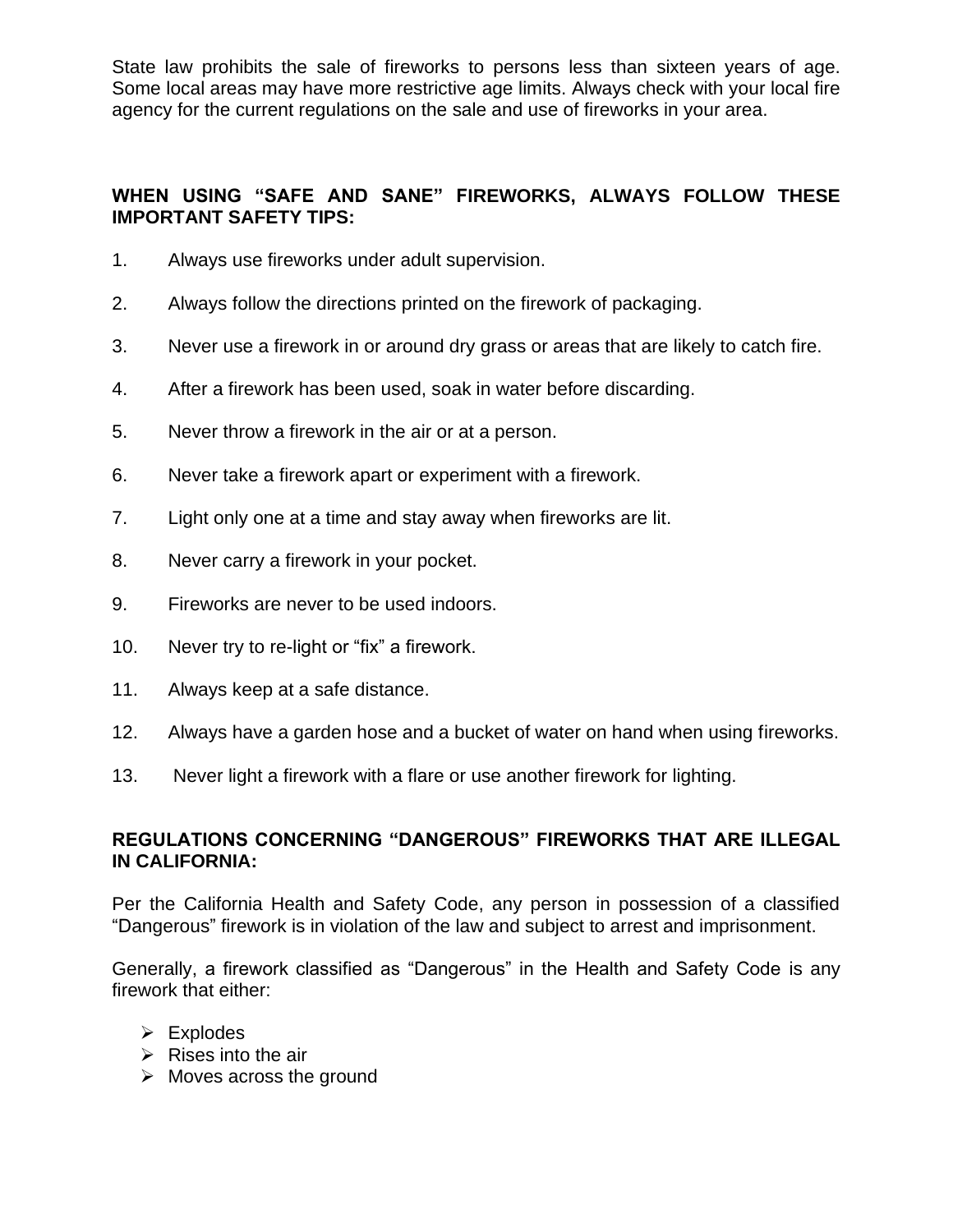State law prohibits the sale of fireworks to persons less than sixteen years of age. Some local areas may have more restrictive age limits. Always check with your local fire agency for the current regulations on the sale and use of fireworks in your area.

## **WHEN USING "SAFE AND SANE" FIREWORKS, ALWAYS FOLLOW THESE IMPORTANT SAFETY TIPS:**

- 1. Always use fireworks under adult supervision.
- 2. Always follow the directions printed on the firework of packaging.
- 3. Never use a firework in or around dry grass or areas that are likely to catch fire.
- 4. After a firework has been used, soak in water before discarding.
- 5. Never throw a firework in the air or at a person.
- 6. Never take a firework apart or experiment with a firework.
- 7. Light only one at a time and stay away when fireworks are lit.
- 8. Never carry a firework in your pocket.
- 9. Fireworks are never to be used indoors.
- 10. Never try to re-light or "fix" a firework.
- 11. Always keep at a safe distance.
- 12. Always have a garden hose and a bucket of water on hand when using fireworks.
- 13. Never light a firework with a flare or use another firework for lighting.

#### **REGULATIONS CONCERNING "DANGEROUS" FIREWORKS THAT ARE ILLEGAL IN CALIFORNIA:**

Per the California Health and Safety Code, any person in possession of a classified "Dangerous" firework is in violation of the law and subject to arrest and imprisonment.

Generally, a firework classified as "Dangerous" in the Health and Safety Code is any firework that either:

- ➢ Explodes
- $\triangleright$  Rises into the air
- $\triangleright$  Moves across the ground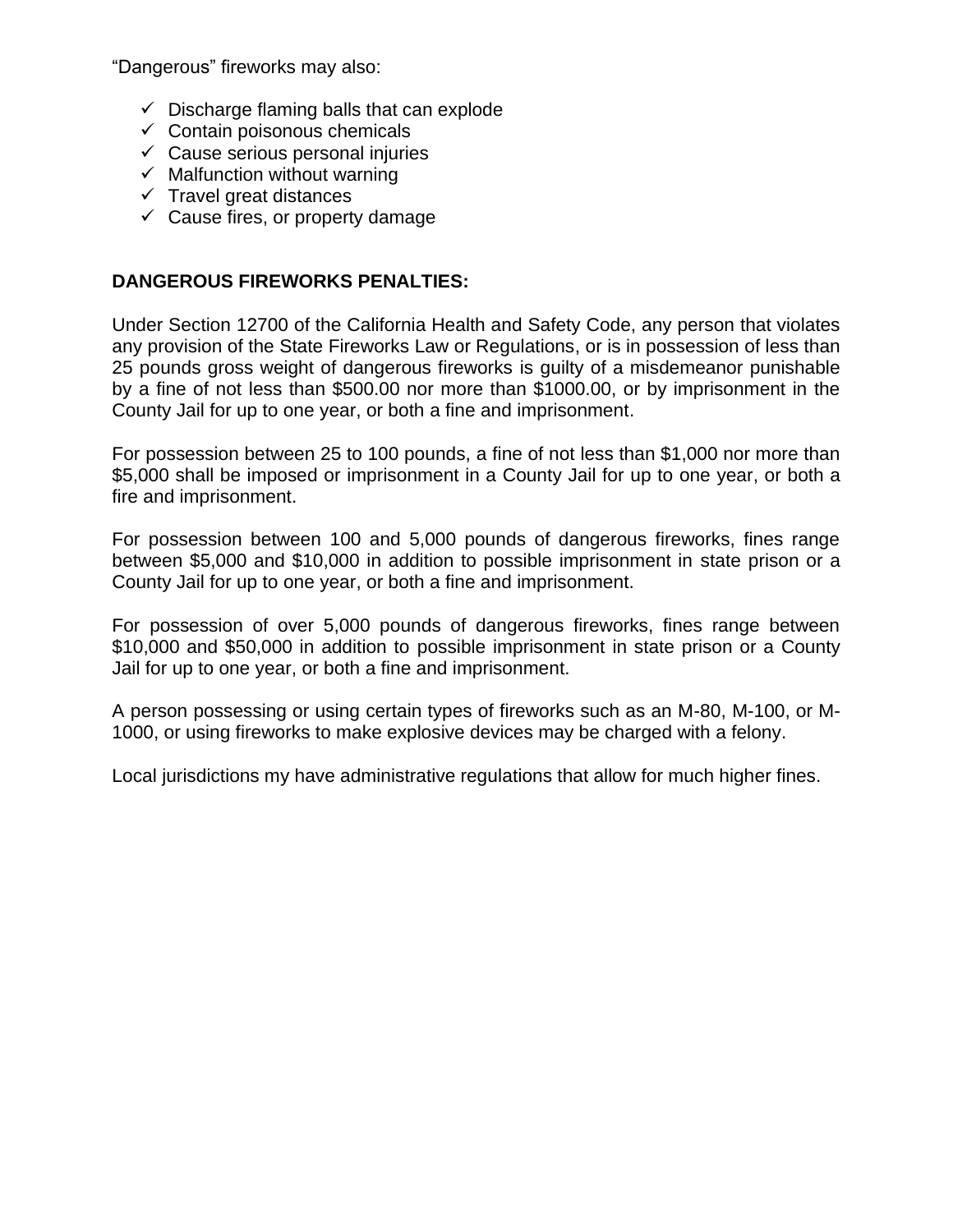"Dangerous" fireworks may also:

- $\checkmark$  Discharge flaming balls that can explode
- $\checkmark$  Contain poisonous chemicals
- $\checkmark$  Cause serious personal injuries
- $\checkmark$  Malfunction without warning
- $\checkmark$  Travel great distances
- $\checkmark$  Cause fires, or property damage

#### **DANGEROUS FIREWORKS PENALTIES:**

Under Section 12700 of the California Health and Safety Code, any person that violates any provision of the State Fireworks Law or Regulations, or is in possession of less than 25 pounds gross weight of dangerous fireworks is guilty of a misdemeanor punishable by a fine of not less than \$500.00 nor more than \$1000.00, or by imprisonment in the County Jail for up to one year, or both a fine and imprisonment.

For possession between 25 to 100 pounds, a fine of not less than \$1,000 nor more than \$5,000 shall be imposed or imprisonment in a County Jail for up to one year, or both a fire and imprisonment.

For possession between 100 and 5,000 pounds of dangerous fireworks, fines range between \$5,000 and \$10,000 in addition to possible imprisonment in state prison or a County Jail for up to one year, or both a fine and imprisonment.

For possession of over 5,000 pounds of dangerous fireworks, fines range between \$10,000 and \$50,000 in addition to possible imprisonment in state prison or a County Jail for up to one year, or both a fine and imprisonment.

A person possessing or using certain types of fireworks such as an M-80, M-100, or M-1000, or using fireworks to make explosive devices may be charged with a felony.

Local jurisdictions my have administrative regulations that allow for much higher fines.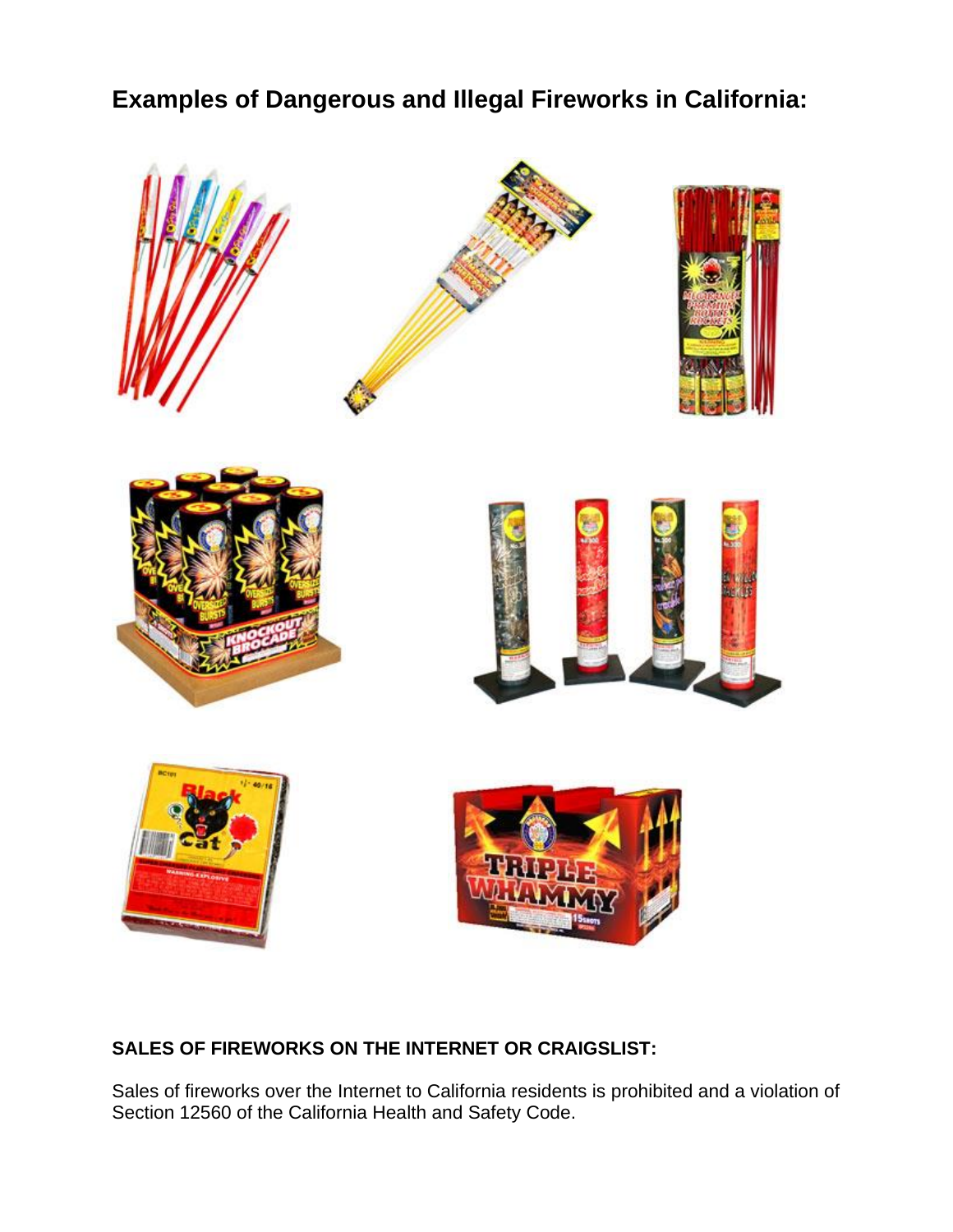# **Examples of Dangerous and Illegal Fireworks in California:**



# **SALES OF FIREWORKS ON THE INTERNET OR CRAIGSLIST:**

Sales of fireworks over the Internet to California residents is prohibited and a violation of Section 12560 of the California Health and Safety Code.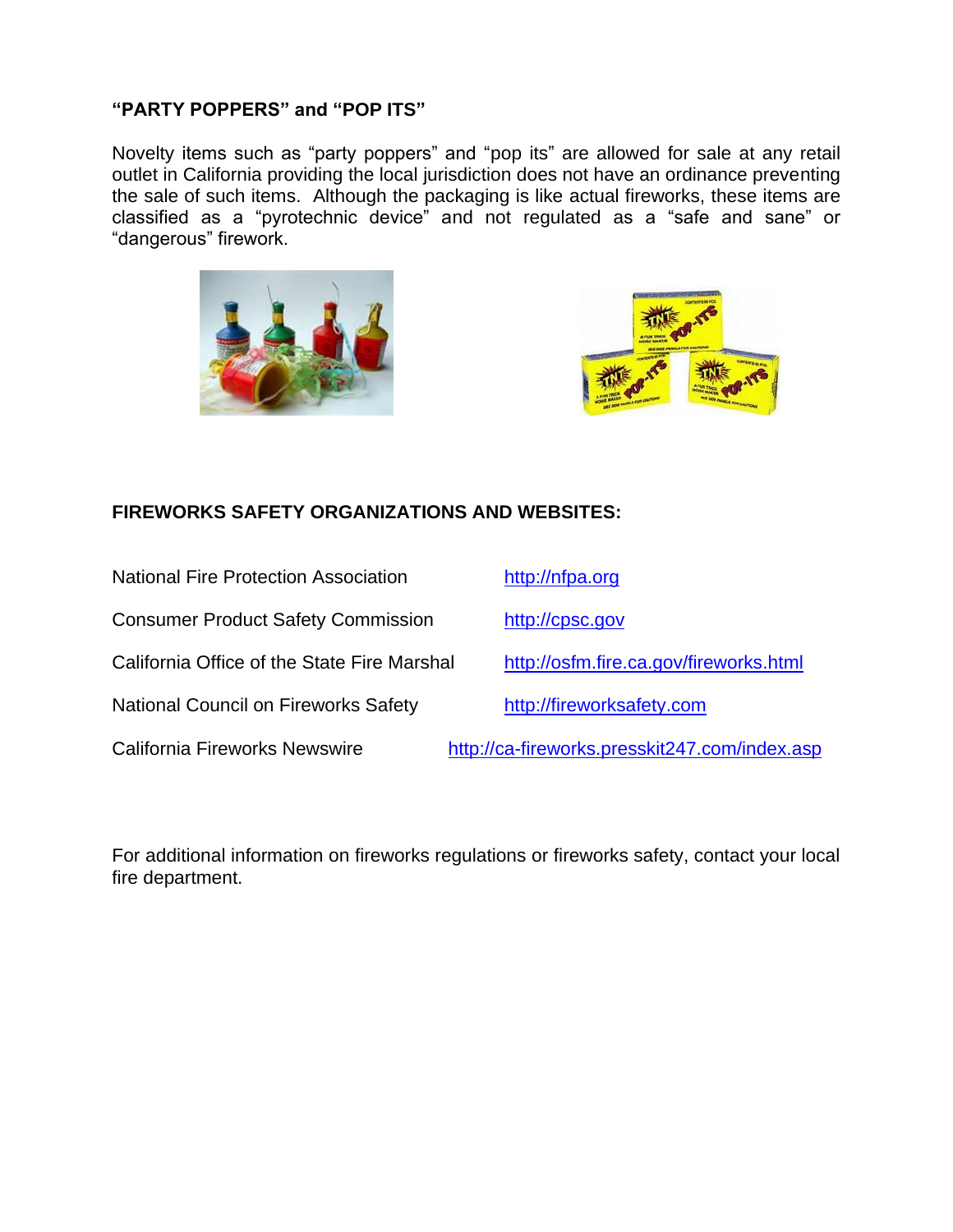#### **"PARTY POPPERS" and "POP ITS"**

Novelty items such as "party poppers" and "pop its" are allowed for sale at any retail outlet in California providing the local jurisdiction does not have an ordinance preventing the sale of such items. Although the packaging is like actual fireworks, these items are classified as a "pyrotechnic device" and not regulated as a "safe and sane" or "dangerous" firework.





# **FIREWORKS SAFETY ORGANIZATIONS AND WEBSITES:**

| <b>National Fire Protection Association</b> | http://nfpa.org                               |  |
|---------------------------------------------|-----------------------------------------------|--|
| <b>Consumer Product Safety Commission</b>   | http://cpsc.gov                               |  |
| California Office of the State Fire Marshal | http://osfm.fire.ca.gov/fireworks.html        |  |
| <b>National Council on Fireworks Safety</b> | http://fireworksafety.com                     |  |
| <b>California Fireworks Newswire</b>        | http://ca-fireworks.presskit247.com/index.asp |  |

For additional information on fireworks regulations or fireworks safety, contact your local fire department.